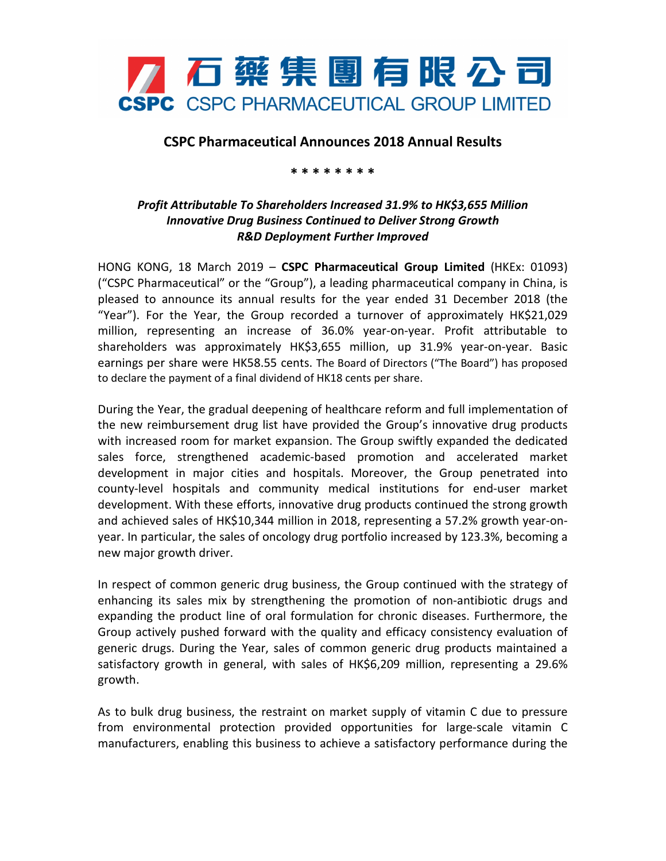

## **CSPC Pharmaceutical Announces 2018 Annual Results**

## **\* \* \* \* \* \* \* \***

## *Profit Attributable To Shareholders Increased 31.9% to HK\$3,655 Million Innovative Drug Business Continued to Deliver Strong Growth R&D Deployment Further Improved*

HONG KONG, 18 March 2019 – **CSPC Pharmaceutical Group Limited** (HKEx: 01093) ("CSPC Pharmaceutical" or the "Group"), a leading pharmaceutical company in China, is pleased to announce its annual results for the year ended 31 December 2018 (the "Year"). For the Year, the Group recorded a turnover of approximately HK\$21,029 million, representing an increase of 36.0% year-on-year. Profit attributable to shareholders was approximately HK\$3,655 million, up 31.9% year-on-year. Basic earnings per share were HK58.55 cents. The Board of Directors ("The Board") has proposed to declare the payment of a final dividend of HK18 cents per share.

During the Year, the gradual deepening of healthcare reform and full implementation of the new reimbursement drug list have provided the Group's innovative drug products with increased room for market expansion. The Group swiftly expanded the dedicated sales force, strengthened academic-based promotion and accelerated market development in major cities and hospitals. Moreover, the Group penetrated into county-level hospitals and community medical institutions for end-user market development. With these efforts, innovative drug products continued the strong growth and achieved sales of HK\$10,344 million in 2018, representing a 57.2% growth year-onyear. In particular, the sales of oncology drug portfolio increased by 123.3%, becoming a new major growth driver.

In respect of common generic drug business, the Group continued with the strategy of enhancing its sales mix by strengthening the promotion of non-antibiotic drugs and expanding the product line of oral formulation for chronic diseases. Furthermore, the Group actively pushed forward with the quality and efficacy consistency evaluation of generic drugs. During the Year, sales of common generic drug products maintained a satisfactory growth in general, with sales of HK\$6,209 million, representing a 29.6% growth.

As to bulk drug business, the restraint on market supply of vitamin C due to pressure from environmental protection provided opportunities for large-scale vitamin C manufacturers, enabling this business to achieve a satisfactory performance during the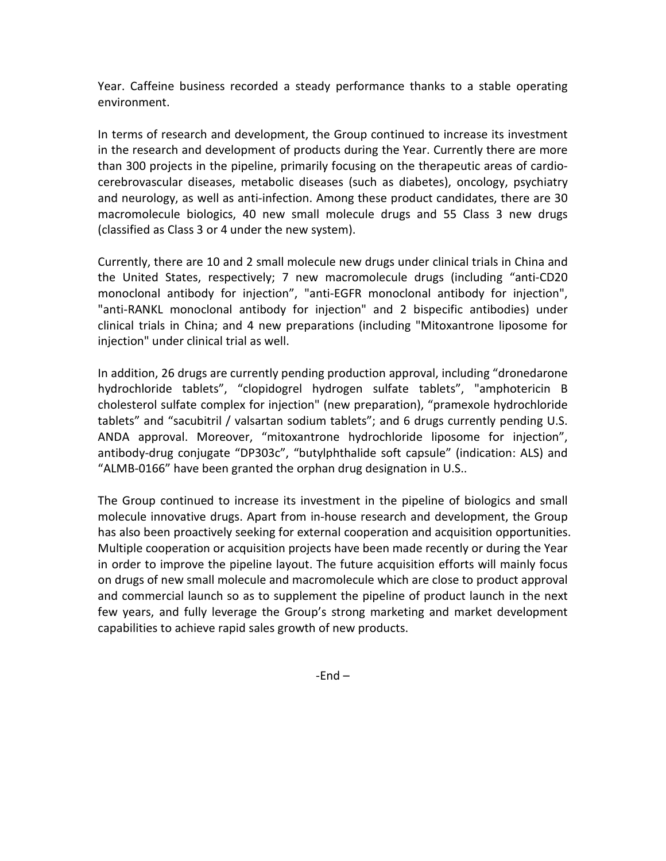Year. Caffeine business recorded a steady performance thanks to a stable operating environment.

In terms of research and development, the Group continued to increase its investment in the research and development of products during the Year. Currently there are more than 300 projects in the pipeline, primarily focusing on the therapeutic areas of cardiocerebrovascular diseases, metabolic diseases (such as diabetes), oncology, psychiatry and neurology, as well as anti-infection. Among these product candidates, there are 30 macromolecule biologics, 40 new small molecule drugs and 55 Class 3 new drugs (classified as Class 3 or 4 under the new system).

Currently, there are 10 and 2 small molecule new drugs under clinical trials in China and the United States, respectively; 7 new macromolecule drugs (including "anti-CD20 monoclonal antibody for injection", "anti-EGFR monoclonal antibody for injection", "anti-RANKL monoclonal antibody for injection" and 2 bispecific antibodies) under clinical trials in China; and 4 new preparations (including "Mitoxantrone liposome for injection" under clinical trial as well.

In addition, 26 drugs are currently pending production approval, including "dronedarone hydrochloride tablets", "clopidogrel hydrogen sulfate tablets", "amphotericin B cholesterol sulfate complex for injection" (new preparation), "pramexole hydrochloride tablets" and "sacubitril / valsartan sodium tablets"; and 6 drugs currently pending U.S. ANDA approval. Moreover, "mitoxantrone hydrochloride liposome for injection", antibody-drug conjugate "DP303c", "butylphthalide soft capsule" (indication: ALS) and "ALMB-0166" have been granted the orphan drug designation in U.S..

The Group continued to increase its investment in the pipeline of biologics and small molecule innovative drugs. Apart from in-house research and development, the Group has also been proactively seeking for external cooperation and acquisition opportunities. Multiple cooperation or acquisition projects have been made recently or during the Year in order to improve the pipeline layout. The future acquisition efforts will mainly focus on drugs of new small molecule and macromolecule which are close to product approval and commercial launch so as to supplement the pipeline of product launch in the next few years, and fully leverage the Group's strong marketing and market development capabilities to achieve rapid sales growth of new products.

 $-End -$